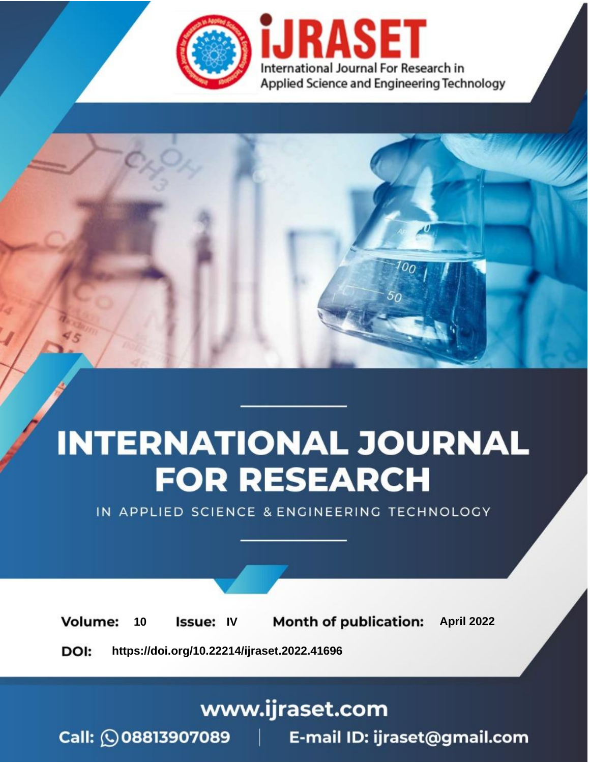

# **INTERNATIONAL JOURNAL FOR RESEARCH**

IN APPLIED SCIENCE & ENGINEERING TECHNOLOGY

10 **Issue: IV Month of publication:** April 2022 **Volume:** 

**https://doi.org/10.22214/ijraset.2022.41696**DOI:

www.ijraset.com

Call: 008813907089 | E-mail ID: ijraset@gmail.com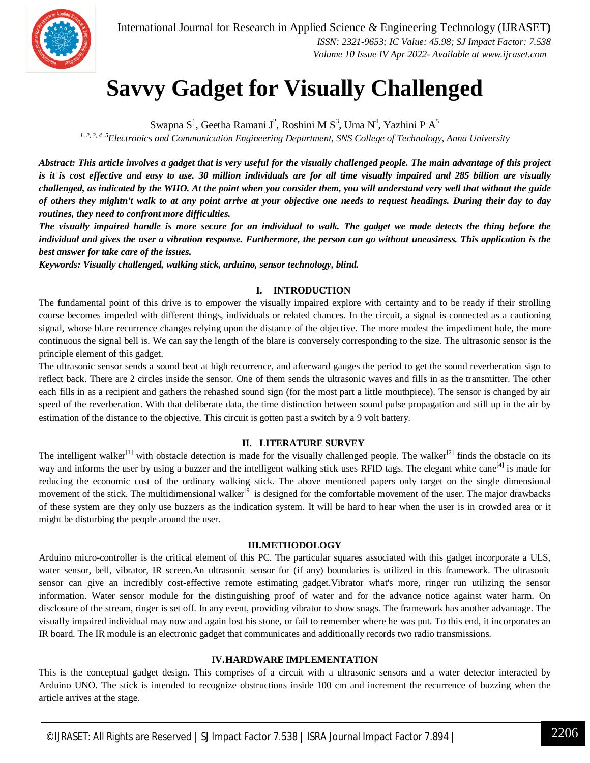

### **Savvy Gadget for Visually Challenged**

Swapna S<sup>1</sup>, Geetha Ramani J<sup>2</sup>, Roshini M S<sup>3</sup>, Uma N<sup>4</sup>, Yazhini P A<sup>5</sup>

*1, 2, 3, 4, 5Electronics and Communication Engineering Department, SNS College of Technology, Anna University*

*Abstract: This article involves a gadget that is very useful for the visually challenged people. The main advantage of this project is it is cost effective and easy to use. 30 million individuals are for all time visually impaired and 285 billion are visually challenged, as indicated by the WHO. At the point when you consider them, you will understand very well that without the guide of others they mightn't walk to at any point arrive at your objective one needs to request headings. During their day to day routines, they need to confront more difficulties.* 

*The visually impaired handle is more secure for an individual to walk. The gadget we made detects the thing before the individual and gives the user a vibration response. Furthermore, the person can go without uneasiness. This application is the best answer for take care of the issues.*

*Keywords: Visually challenged, walking stick, arduino, sensor technology, blind.*

#### **I. INTRODUCTION**

The fundamental point of this drive is to empower the visually impaired explore with certainty and to be ready if their strolling course becomes impeded with different things, individuals or related chances. In the circuit, a signal is connected as a cautioning signal, whose blare recurrence changes relying upon the distance of the objective. The more modest the impediment hole, the more continuous the signal bell is. We can say the length of the blare is conversely corresponding to the size. The ultrasonic sensor is the principle element of this gadget.

The ultrasonic sensor sends a sound beat at high recurrence, and afterward gauges the period to get the sound reverberation sign to reflect back. There are 2 circles inside the sensor. One of them sends the ultrasonic waves and fills in as the transmitter. The other each fills in as a recipient and gathers the rehashed sound sign (for the most part a little mouthpiece). The sensor is changed by air speed of the reverberation. With that deliberate data, the time distinction between sound pulse propagation and still up in the air by estimation of the distance to the objective. This circuit is gotten past a switch by a 9 volt battery.

#### **II. LITERATURE SURVEY**

The intelligent walker<sup>[1]</sup> with obstacle detection is made for the visually challenged people. The walker<sup>[2]</sup> finds the obstacle on its way and informs the user by using a buzzer and the intelligent walking stick uses RFID tags. The elegant white cane<sup>[4]</sup> is made for reducing the economic cost of the ordinary walking stick. The above mentioned papers only target on the single dimensional movement of the stick. The multidimensional walker<sup>[9]</sup> is designed for the comfortable movement of the user. The major drawbacks of these system are they only use buzzers as the indication system. It will be hard to hear when the user is in crowded area or it might be disturbing the people around the user.

#### **III.METHODOLOGY**

Arduino micro-controller is the critical element of this PC. The particular squares associated with this gadget incorporate a ULS, water sensor, bell, vibrator, IR screen.An ultrasonic sensor for (if any) boundaries is utilized in this framework. The ultrasonic sensor can give an incredibly cost-effective remote estimating gadget.Vibrator what's more, ringer run utilizing the sensor information. Water sensor module for the distinguishing proof of water and for the advance notice against water harm. On disclosure of the stream, ringer is set off. In any event, providing vibrator to show snags. The framework has another advantage. The visually impaired individual may now and again lost his stone, or fail to remember where he was put. To this end, it incorporates an IR board. The IR module is an electronic gadget that communicates and additionally records two radio transmissions.

#### **IV.HARDWARE IMPLEMENTATION**

This is the conceptual gadget design. This comprises of a circuit with a ultrasonic sensors and a water detector interacted by Arduino UNO. The stick is intended to recognize obstructions inside 100 cm and increment the recurrence of buzzing when the article arrives at the stage.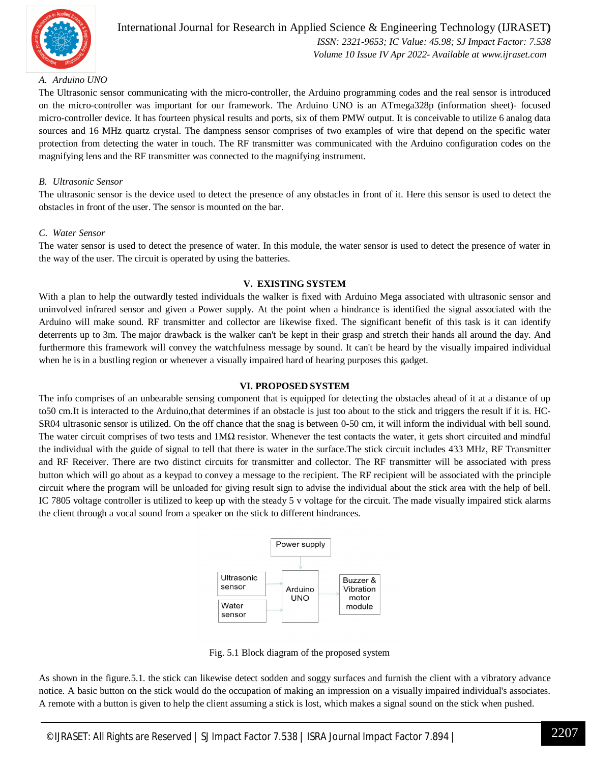

#### International Journal for Research in Applied Science & Engineering Technology (IJRASET**)**  *ISSN: 2321-9653; IC Value: 45.98; SJ Impact Factor: 7.538 Volume 10 Issue IV Apr 2022- Available at www.ijraset.com*

#### *A. Arduino UNO*

The Ultrasonic sensor communicating with the micro-controller, the Arduino programming codes and the real sensor is introduced on the micro-controller was important for our framework. The Arduino UNO is an ATmega328p (information sheet)- focused micro-controller device. It has fourteen physical results and ports, six of them PMW output. It is conceivable to utilize 6 analog data sources and 16 MHz quartz crystal. The dampness sensor comprises of two examples of wire that depend on the specific water protection from detecting the water in touch. The RF transmitter was communicated with the Arduino configuration codes on the magnifying lens and the RF transmitter was connected to the magnifying instrument.

#### *B. Ultrasonic Sensor*

The ultrasonic sensor is the device used to detect the presence of any obstacles in front of it. Here this sensor is used to detect the obstacles in front of the user. The sensor is mounted on the bar.

#### *C. Water Sensor*

The water sensor is used to detect the presence of water. In this module, the water sensor is used to detect the presence of water in the way of the user. The circuit is operated by using the batteries.

#### **V. EXISTING SYSTEM**

With a plan to help the outwardly tested individuals the walker is fixed with Arduino Mega associated with ultrasonic sensor and uninvolved infrared sensor and given a Power supply. At the point when a hindrance is identified the signal associated with the Arduino will make sound. RF transmitter and collector are likewise fixed. The significant benefit of this task is it can identify deterrents up to 3m. The major drawback is the walker can't be kept in their grasp and stretch their hands all around the day. And furthermore this framework will convey the watchfulness message by sound. It can't be heard by the visually impaired individual when he is in a bustling region or whenever a visually impaired hard of hearing purposes this gadget.

#### **VI. PROPOSED SYSTEM**

The info comprises of an unbearable sensing component that is equipped for detecting the obstacles ahead of it at a distance of up to50 cm.It is interacted to the Arduino,that determines if an obstacle is just too about to the stick and triggers the result if it is. HC-SR04 ultrasonic sensor is utilized. On the off chance that the snag is between 0-50 cm, it will inform the individual with bell sound. The water circuit comprises of two tests and  $1\text{M}\Omega$  resistor. Whenever the test contacts the water, it gets short circuited and mindful the individual with the guide of signal to tell that there is water in the surface.The stick circuit includes 433 MHz, RF Transmitter and RF Receiver. There are two distinct circuits for transmitter and collector. The RF transmitter will be associated with press button which will go about as a keypad to convey a message to the recipient. The RF recipient will be associated with the principle circuit where the program will be unloaded for giving result sign to advise the individual about the stick area with the help of bell. IC 7805 voltage controller is utilized to keep up with the steady 5 v voltage for the circuit. The made visually impaired stick alarms the client through a vocal sound from a speaker on the stick to different hindrances.



Fig. 5.1 Block diagram of the proposed system

As shown in the figure.5.1. the stick can likewise detect sodden and soggy surfaces and furnish the client with a vibratory advance notice. A basic button on the stick would do the occupation of making an impression on a visually impaired individual's associates. A remote with a button is given to help the client assuming a stick is lost, which makes a signal sound on the stick when pushed.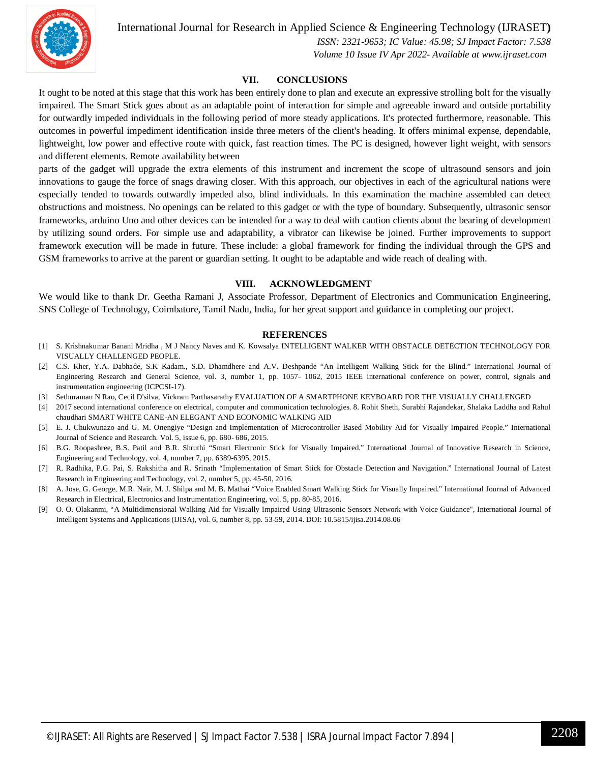International Journal for Research in Applied Science & Engineering Technology (IJRASET**)**



 *ISSN: 2321-9653; IC Value: 45.98; SJ Impact Factor: 7.538 Volume 10 Issue IV Apr 2022- Available at www.ijraset.com*

#### **VII. CONCLUSIONS**

It ought to be noted at this stage that this work has been entirely done to plan and execute an expressive strolling bolt for the visually impaired. The Smart Stick goes about as an adaptable point of interaction for simple and agreeable inward and outside portability for outwardly impeded individuals in the following period of more steady applications. It's protected furthermore, reasonable. This outcomes in powerful impediment identification inside three meters of the client's heading. It offers minimal expense, dependable, lightweight, low power and effective route with quick, fast reaction times. The PC is designed, however light weight, with sensors and different elements. Remote availability between

parts of the gadget will upgrade the extra elements of this instrument and increment the scope of ultrasound sensors and join innovations to gauge the force of snags drawing closer. With this approach, our objectives in each of the agricultural nations were especially tended to towards outwardly impeded also, blind individuals. In this examination the machine assembled can detect obstructions and moistness. No openings can be related to this gadget or with the type of boundary. Subsequently, ultrasonic sensor frameworks, arduino Uno and other devices can be intended for a way to deal with caution clients about the bearing of development by utilizing sound orders. For simple use and adaptability, a vibrator can likewise be joined. Further improvements to support framework execution will be made in future. These include: a global framework for finding the individual through the GPS and GSM frameworks to arrive at the parent or guardian setting. It ought to be adaptable and wide reach of dealing with.

#### **VIII. ACKNOWLEDGMENT**

We would like to thank Dr. Geetha Ramani J, Associate Professor, Department of Electronics and Communication Engineering, SNS College of Technology, Coimbatore, Tamil Nadu, India, for her great support and guidance in completing our project.

#### **REFERENCES**

- [1] S. Krishnakumar Banani Mridha , M J Nancy Naves and K. Kowsalya INTELLIGENT WALKER WITH OBSTACLE DETECTION TECHNOLOGY FOR VISUALLY CHALLENGED PEOPLE.
- [2] C.S. Kher, Y.A. Dabhade, S.K Kadam., S.D. Dhamdhere and A.V. Deshpande "An Intelligent Walking Stick for the Blind." International Journal of Engineering Research and General Science, vol. 3, number 1, pp. 1057- 1062, 2015 IEEE international conference on power, control, signals and instrumentation engineering (ICPCSI-17).
- [3] Sethuraman N Rao, Cecil D'silva, Vickram Parthasarathy EVALUATION OF A SMARTPHONE KEYBOARD FOR THE VISUALLY CHALLENGED
- [4] 2017 second international conference on electrical, computer and communication technologies. 8. Rohit Sheth, Surabhi Rajandekar, Shalaka Laddha and Rahul chaudhari SMART WHITE CANE-AN ELEGANT AND ECONOMIC WALKING AID
- [5] E. J. Chukwunazo and G. M. Onengiye "Design and Implementation of Microcontroller Based Mobility Aid for Visually Impaired People." International Journal of Science and Research. Vol. 5, issue 6, pp. 680- 686, 2015.
- [6] B.G. Roopashree, B.S. Patil and B.R. Shruthi "Smart Electronic Stick for Visually Impaired." International Journal of Innovative Research in Science, Engineering and Technology, vol. 4, number 7, pp. 6389-6395, 2015.
- [7] R. Radhika, P.G. Pai, S. Rakshitha and R. Srinath "Implementation of Smart Stick for Obstacle Detection and Navigation." International Journal of Latest Research in Engineering and Technology, vol. 2, number 5, pp. 45-50, 2016.
- [8] A. Jose, G. George, M.R. Nair, M. J. Shilpa and M. B. Mathai "Voice Enabled Smart Walking Stick for Visually Impaired." International Journal of Advanced Research in Electrical, Electronics and Instrumentation Engineering, vol. 5, pp. 80-85, 2016.
- [9] O. O. Olakanmi, "A Multidimensional Walking Aid for Visually Impaired Using Ultrasonic Sensors Network with Voice Guidance", International Journal of Intelligent Systems and Applications (IJISA), vol. 6, number 8, pp. 53-59, 2014. DOI: 10.5815/ijisa.2014.08.06